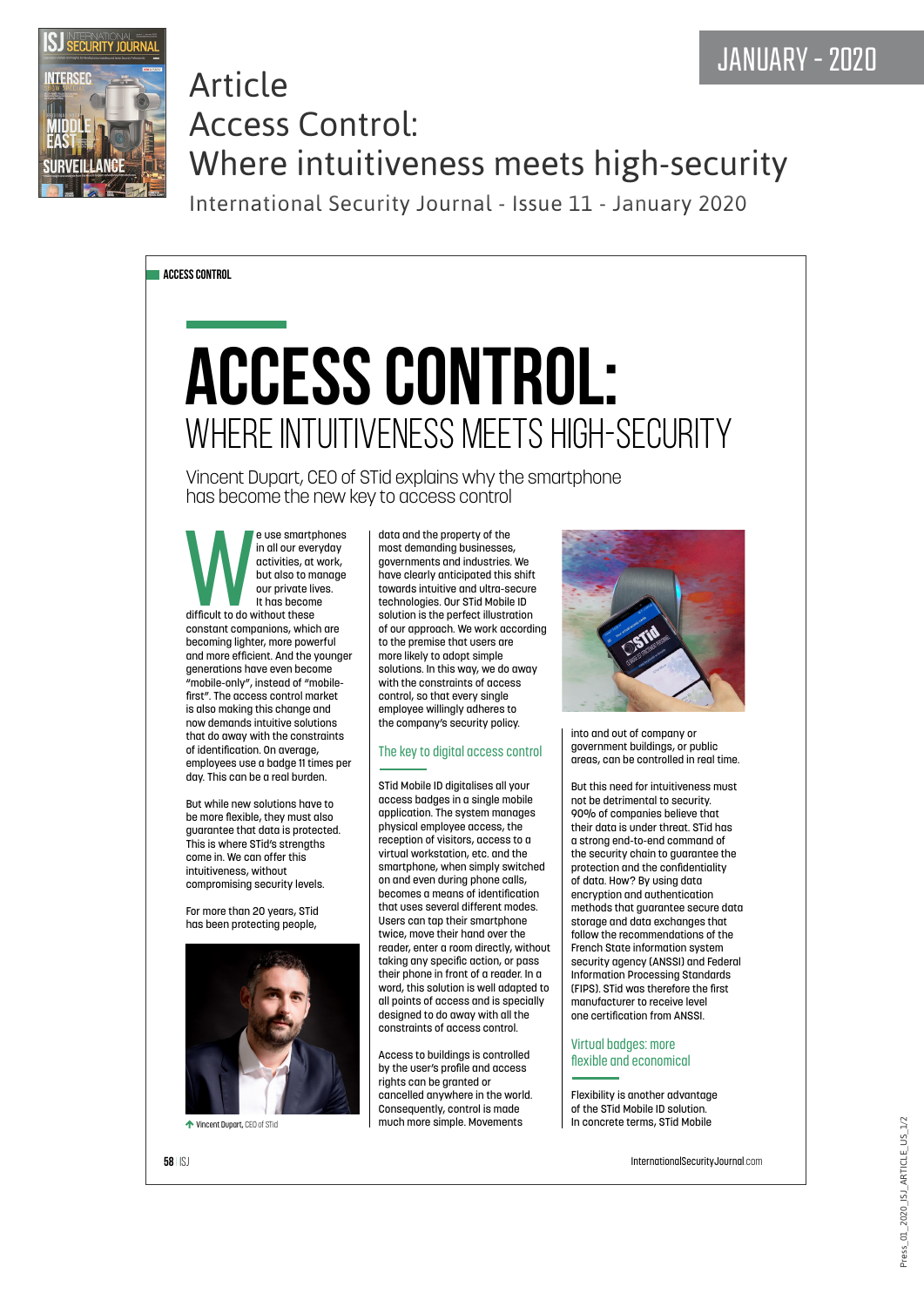

Article Access Control: Where intuitiveness meets high-security

International Security Journal - Issue 11 - January 2020

Access Control Access Control

## **Access control:**  Where intuitiveness meets high-security

Vincent Dupart, CEO of STid explains why the smartphone has become the new key to access control

e use smartphones<br>
in all our everyday<br>
activities, at work,<br>
but also to manage<br>
our private lives.<br>
It has become<br>
difficult to do without these in all our everyday activities, at work, but also to manage our private lives. It has become difficult to do without these constant companions, which are becoming lighter, more powerful and more efficient. And the younger generations have even become "mobile-only", instead of "mobilefirst". The access control market is also making this change and now demands intuitive solutions that do away with the constraints of identification. On average, employees use a badge 11 times per day. This can be a real burden.

But while new solutions have to be more flexible, they must also guarantee that data is protected. This is where STid's strengths come in. We can offer this intuitiveness, without compromising security levels.

For more than 20 years, STid has been protecting people,



data and the property of the most demanding businesses, governments and industries. We have clearly anticipated this shift towards intuitive and ultra-secure technologies. Our STid Mobile ID solution is the perfect illustration of our approach. We work according to the premise that users are more likely to adopt simple solutions. In this way, we do away with the constraints of access control, so that every single employee willingly adheres to the company's security policy.

## The key to digital access control

STid Mobile ID digitalises all your access badges in a single mobile application. The system manages physical employee access, the reception of visitors, access to a virtual workstation, etc. and the smartphone, when simply switched on and even during phone calls, becomes a means of identification that uses several different modes. Users can tap their smartphone twice, move their hand over the reader, enter a room directly, without taking any specific action, or pass their phone in front of a reader. In a word, this solution is well adapted to all points of access and is specially designed to do away with all the constraints of access control.

Access to buildings is controlled by the user's profile and access rights can be granted or cancelled anywhere in the world. Consequently, control is made



into and out of company or government buildings, or public areas, can be controlled in real time.

But this need for intuitiveness must not be detrimental to security. 90% of companies believe that their data is under threat. STid has a strong end-to-end command of the security chain to guarantee the protection and the confidentiality of data. How? By using data encryption and authentication methods that guarantee secure data storage and data exchanges that follow the recommendations of the French State information system security agency (ANSSI) and Federal Information Processing Standards (FIPS). STid was therefore the first manufacturer to receive level one certification from ANSSI.

Virtual badges: more flexible and economical

Vincent Dupart, CEO of STid innovation. In nuch more simple. Movements and the concrete terms, STid Mobile Flexibility is another advantage of the STid Mobile ID solution. In concrete terms, STid Mobile